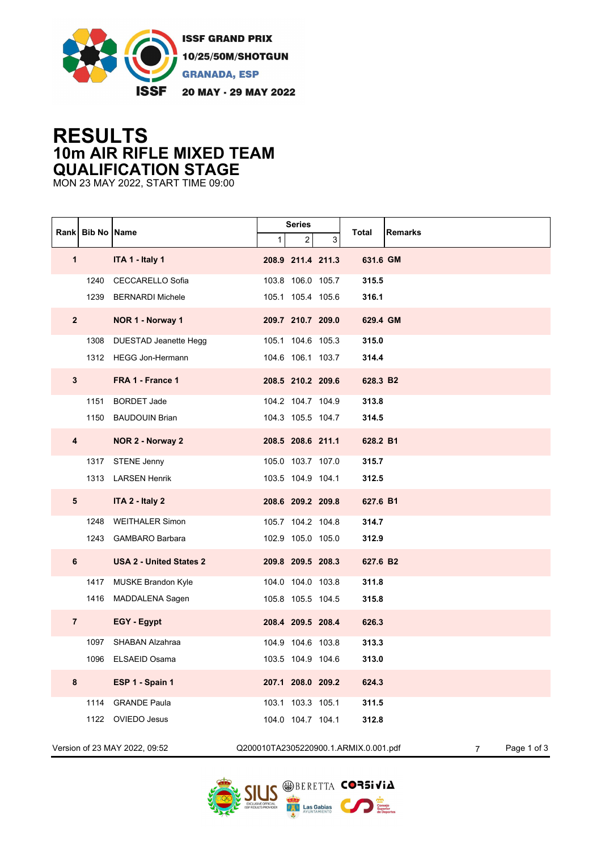

## **RESULTS 10m AIR RIFLE MIXED TEAM QUALIFICATION STAGE**

MON 23 MAY 2022, START TIME 09:00

|                               |      |                                | <b>Series</b> |                   |   |                                       |                  |
|-------------------------------|------|--------------------------------|---------------|-------------------|---|---------------------------------------|------------------|
|                               |      | Rank   Bib No   Name           | 1             | 2                 | 3 | Total                                 | <b>Remarks</b>   |
| 1                             |      | ITA 1 - Italy 1                |               | 208.9 211.4 211.3 |   | 631.6 GM                              |                  |
|                               |      | 1240 CECCARELLO Sofia          |               | 103.8 106.0 105.7 |   | 315.5                                 |                  |
|                               | 1239 | <b>BERNARDI Michele</b>        |               | 105.1 105.4 105.6 |   | 316.1                                 |                  |
| $2^{\circ}$                   |      | NOR 1 - Norway 1               |               | 209.7 210.7 209.0 |   | 629.4 GM                              |                  |
|                               | 1308 | DUESTAD Jeanette Hegg          |               | 105.1 104.6 105.3 |   | 315.0                                 |                  |
|                               |      | 1312 HEGG Jon-Hermann          |               | 104.6 106.1 103.7 |   | 314.4                                 |                  |
| 3                             |      | FRA 1 - France 1               |               | 208.5 210.2 209.6 |   | 628.3 B2                              |                  |
|                               | 1151 | <b>BORDET Jade</b>             |               | 104.2 104.7 104.9 |   | 313.8                                 |                  |
|                               |      | 1150 BAUDOUIN Brian            |               | 104.3 105.5 104.7 |   | 314.5                                 |                  |
| 4                             |      | NOR 2 - Norway 2               |               | 208.5 208.6 211.1 |   | 628.2 B1                              |                  |
|                               |      | 1317 STENE Jenny               |               | 105.0 103.7 107.0 |   | 315.7                                 |                  |
|                               |      | 1313 LARSEN Henrik             |               | 103.5 104.9 104.1 |   | 312.5                                 |                  |
| 5                             |      | ITA 2 - Italy 2                |               | 208.6 209.2 209.8 |   | 627.6 B1                              |                  |
|                               | 1248 | <b>WEITHALER Simon</b>         |               | 105.7 104.2 104.8 |   | 314.7                                 |                  |
|                               |      | 1243 GAMBARO Barbara           |               | 102.9 105.0 105.0 |   | 312.9                                 |                  |
| 6                             |      | <b>USA 2 - United States 2</b> |               | 209.8 209.5 208.3 |   | 627.6 B2                              |                  |
|                               | 1417 | MUSKE Brandon Kyle             |               | 104.0 104.0 103.8 |   | 311.8                                 |                  |
|                               |      | 1416 MADDALENA Sagen           |               | 105.8 105.5 104.5 |   | 315.8                                 |                  |
| $\overline{7}$                |      | EGY - Egypt                    |               | 208.4 209.5 208.4 |   | 626.3                                 |                  |
|                               | 1097 | SHABAN Alzahraa                |               | 104.9 104.6 103.8 |   | 313.3                                 |                  |
|                               |      | 1096 ELSAEID Osama             |               | 103.5 104.9 104.6 |   | 313.0                                 |                  |
| 8                             |      | ESP 1 - Spain 1                |               | 207.1 208.0 209.2 |   | 624.3                                 |                  |
|                               | 1114 | <b>GRANDE Paula</b>            |               | 103.1 103.3 105.1 |   | 311.5                                 |                  |
|                               | 1122 | OVIEDO Jesus                   |               | 104.0 104.7 104.1 |   | 312.8                                 |                  |
| Version of 23 MAY 2022, 09:52 |      |                                |               |                   |   | Q200010TA2305220900.1.ARMIX.0.001.pdf | Page 1 of 3<br>7 |

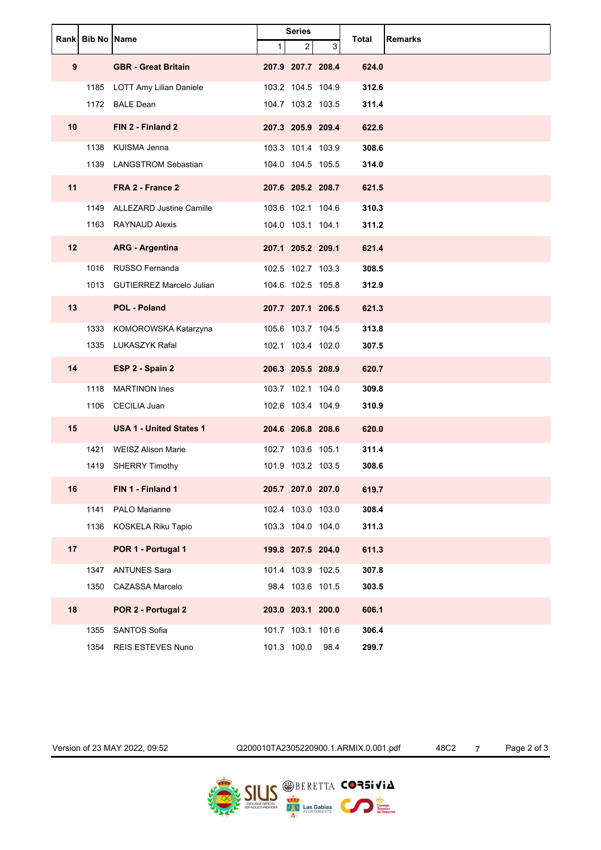|    |      | Rank   Bib No   Name           | <b>Series</b> |                   |      | Total | <b>Remarks</b> |
|----|------|--------------------------------|---------------|-------------------|------|-------|----------------|
|    |      |                                | 1             | 2                 | 3    |       |                |
| 9  |      | <b>GBR</b> - Great Britain     |               | 207.9 207.7 208.4 |      | 624.0 |                |
|    |      | 1185 LOTT Amy Lilian Daniele   |               | 103.2 104.5 104.9 |      | 312.6 |                |
|    |      | 1172 BALE Dean                 |               | 104.7 103.2 103.5 |      | 311.4 |                |
| 10 |      | FIN 2 - Finland 2              |               | 207.3 205.9 209.4 |      | 622.6 |                |
|    |      | 1138 KUISMA Jenna              |               | 103.3 101.4 103.9 |      | 308.6 |                |
|    |      | 1139 LANGSTROM Sebastian       |               | 104.0 104.5 105.5 |      | 314.0 |                |
| 11 |      | FRA 2 - France 2               |               | 207.6 205.2 208.7 |      | 621.5 |                |
|    |      | 1149 ALLEZARD Justine Camille  |               | 103.6 102.1 104.6 |      | 310.3 |                |
|    |      | 1163 RAYNAUD Alexis            |               | 104.0 103.1 104.1 |      | 311.2 |                |
| 12 |      | <b>ARG - Argentina</b>         |               | 207.1 205.2 209.1 |      | 621.4 |                |
|    |      | 1016 RUSSO Fernanda            |               | 102.5 102.7 103.3 |      | 308.5 |                |
|    |      | 1013 GUTIERREZ Marcelo Julian  |               | 104.6 102.5 105.8 |      | 312.9 |                |
| 13 |      | <b>POL - Poland</b>            |               | 207.7 207.1 206.5 |      | 621.3 |                |
|    | 1333 | KOMOROWSKA Katarzyna           |               | 105.6 103.7 104.5 |      | 313.8 |                |
|    |      | 1335 LUKASZYK Rafal            |               | 102.1 103.4 102.0 |      | 307.5 |                |
| 14 |      | ESP 2 - Spain 2                |               | 206.3 205.5 208.9 |      | 620.7 |                |
|    | 1118 | <b>MARTINON Ines</b>           |               | 103.7 102.1 104.0 |      | 309.8 |                |
|    |      | 1106 CECILIA Juan              |               | 102.6 103.4 104.9 |      | 310.9 |                |
| 15 |      | <b>USA 1 - United States 1</b> |               | 204.6 206.8 208.6 |      | 620.0 |                |
|    | 1421 | <b>WEISZ Alison Marie</b>      |               | 102.7 103.6 105.1 |      | 311.4 |                |
|    |      | 1419 SHERRY Timothy            |               | 101.9 103.2 103.5 |      | 308.6 |                |
| 16 |      | FIN 1 - Finland 1              |               | 205.7 207.0 207.0 |      | 619.7 |                |
|    | 1141 | PALO Marianne                  |               | 102.4 103.0 103.0 |      | 308.4 |                |
|    | 1136 | KOSKELA Riku Tapio             |               | 103.3 104.0 104.0 |      | 311.3 |                |
| 17 |      | POR 1 - Portugal 1             |               | 199.8 207.5 204.0 |      | 611.3 |                |
|    | 1347 | <b>ANTUNES Sara</b>            |               | 101.4 103.9 102.5 |      | 307.8 |                |
|    | 1350 | CAZASSA Marcelo                |               | 98.4 103.6 101.5  |      | 303.5 |                |
| 18 |      | POR 2 - Portugal 2             |               | 203.0 203.1 200.0 |      | 606.1 |                |
|    | 1355 | SANTOS Sofia                   |               | 101.7 103.1 101.6 |      | 306.4 |                |
|    | 1354 | REIS ESTEVES Nuno              |               | 101.3 100.0       | 98.4 | 299.7 |                |

Version of 23 MAY 2022, 09:52 Q200010TA2305220900.1.ARMIX.0.001.pdf 48C2 7 Page 2 of 3